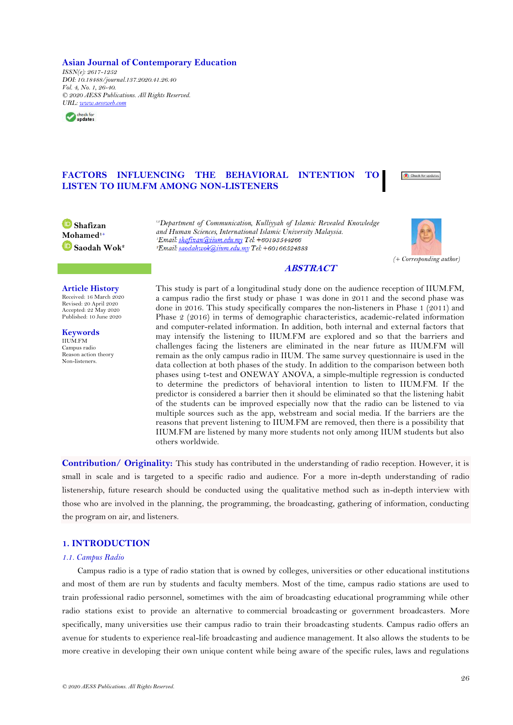### **Asian Journal of Contemporary Education**

*ISSN(e): 2617-1252 DOI: 10.18488/journal.137.2020.41.26.40 Vol. 4, No. 1, 26-40. © 2020 AESS Publications. All Rights Reserved. URL: [www.aessweb.com](http://www.aessweb.com/)*



# **FACTORS INFLUENCING THE BEHAVIORAL INTENTION TO LISTEN TO IIUM.FM AMONG NON-LISTENERS**



**Shafizan [Mo](https://orcid.org/0000-0002-4398-7760)hamed1+ Saodah Wok<sup>2</sup>** *1,2Department of Communication, Kulliyyah of Islamic Revealed Knowledge and Human Sciences, International Islamic University Malaysia.* <sup>2</sup>Email: saodahwok@iium.edu.my Tel: +60166524383



## **ABSTRACT**

### **Article History**

Received: 16 March 2020 Revised: 20 April 2020 Accepted: 22 May 2020 Published: 10 June 2020

**Keywords** IIUM.FM Campus radio  $R$ eason action theory Non-listeners.

This study is part of a longitudinal study done on the audience reception of IIUM.FM, a campus radio the first study or phase 1 was done in 2011 and the second phase was done in 2016. This study specifically compares the non-listeners in Phase 1 (2011) and Phase 2 (2016) in terms of demographic characteristics, academic-related information and computer-related information. In addition, both internal and external factors that may intensify the listening to IIUM.FM are explored and so that the barriers and challenges facing the listeners are eliminated in the near future as IIUM.FM will remain as the only campus radio in IIUM. The same survey questionnaire is used in the data collection at both phases of the study. In addition to the comparison between both phases using t-test and ONEWAY ANOVA, a simple-multiple regression is conducted to determine the predictors of behavioral intention to listen to IIUM.FM. If the predictor is considered a barrier then it should be eliminated so that the listening habit of the students can be improved especially now that the radio can be listened to via multiple sources such as the app, webstream and social media. If the barriers are the reasons that prevent listening to IIUM.FM are removed, then there is a possibility that IIUM.FM are listened by many more students not only among IIUM students but also others worldwide.

**Contribution/ Originality:** This study has contributed in the understanding of radio reception. However, it is small in scale and is targeted to a specific radio and audience. For a more in-depth understanding of radio listenership, future research should be conducted using the qualitative method such as in-depth interview with those who are involved in the planning, the programming, the broadcasting, gathering of information, conducting the program on air, and listeners.

## **1. INTRODUCTION**

#### *1.1. Campus Radio*

Campus radio is a type of radio station that is owned by colleges, universities or other educational institutions and most of them are run by students and faculty members. Most of the time, campus radio stations are used to train professional radio personnel, sometimes with the aim of broadcasting educational programming while other radio stations exist to provide an alternative to commercial broadcasting or government broadcasters. More specifically, many universities use their campus radio to train their broadcasting students. Campus radio offers an avenue for students to experience real-life broadcasting and audience management. It also allows the students to be more creative in developing their own unique content while being aware of the specific rules, laws and regulations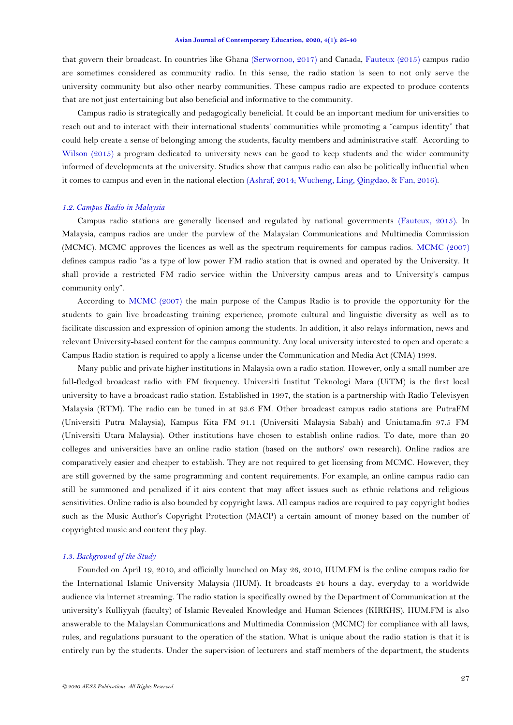that govern their broadcast. In countries like Ghana [\(Serwornoo, 2017\)](#page-14-0) and Canada, [Fauteux \(2015\)](#page-13-0) campus radio are sometimes considered as community radio. In this sense, the radio station is seen to not only serve the university community but also other nearby communities. These campus radio are expected to produce contents that are not just entertaining but also beneficial and informative to the community.

Campus radio is strategically and pedagogically beneficial. It could be an important medium for universities to reach out and to interact with their international students" communities while promoting a "campus identity" that could help create a sense of belonging among the students, faculty members and administrative staff. According to [Wilson \(2015\)](#page-14-1) a program dedicated to university news can be good to keep students and the wider community informed of developments at the university. Studies show that campus radio can also be politically influential when it comes to campus and even in the national election [\(Ashraf, 2014;](#page-13-1) [Wucheng, Ling, Qingdao, &](#page-14-2) Fan, 2016).

#### *1.2. Campus Radio in Malaysia*

Campus radio stations are generally licensed and regulated by national governments [\(Fauteux, 2015\)](#page-13-0). In Malaysia, campus radios are under the purview of the Malaysian Communications and Multimedia Commission (MCMC). MCMC approves the licences as well as the spectrum requirements for campus radios. [MCMC \(2007\)](#page-13-2) defines campus radio "as a type of low power FM radio station that is owned and operated by the University. It shall provide a restricted FM radio service within the University campus areas and to University's campus community only".

According to [MCMC \(2007\)](#page-13-2) the main purpose of the Campus Radio is to provide the opportunity for the students to gain live broadcasting training experience, promote cultural and linguistic diversity as well as to facilitate discussion and expression of opinion among the students. In addition, it also relays information, news and relevant University-based content for the campus community. Any local university interested to open and operate a Campus Radio station is required to apply a license under the Communication and Media Act (CMA) 1998.

Many public and private higher institutions in Malaysia own a radio station. However, only a small number are full-fledged broadcast radio with FM frequency. Universiti Institut Teknologi Mara (UiTM) is the first local university to have a broadcast radio station. Established in 1997, the station is a partnership with Radio Televisyen Malaysia (RTM). The radio can be tuned in at 93.6 FM. Other broadcast campus radio stations are PutraFM (Universiti Putra Malaysia), Kampus Kita FM 91.1 (Universiti Malaysia Sabah) and Uniutama.fm 97.5 FM (Universiti Utara Malaysia). Other institutions have chosen to establish online radios. To date, more than 20 colleges and universities have an online radio station (based on the authors" own research). Online radios are comparatively easier and cheaper to establish. They are not required to get licensing from MCMC. However, they are still governed by the same programming and content requirements. For example, an online campus radio can still be summoned and penalized if it airs content that may affect issues such as ethnic relations and religious sensitivities. Online radio is also bounded by copyright laws. All campus radios are required to pay copyright bodies such as the Music Author"s Copyright Protection (MACP) a certain amount of money based on the number of copyrighted music and content they play.

## *1.3. Background of the Study*

Founded on April 19, 2010, and officially launched on May 26, 2010, IIUM.FM is the online campus radio for the International Islamic University Malaysia (IIUM). It broadcasts 24 hours a day, everyday to a worldwide audience via internet streaming. The radio station is specifically owned by the Department of Communication at the university"s Kulliyyah (faculty) of Islamic Revealed Knowledge and Human Sciences (KIRKHS). IIUM.FM is also answerable to the Malaysian Communications and Multimedia Commission (MCMC) for compliance with all laws, rules, and regulations pursuant to the operation of the station. What is unique about the radio station is that it is entirely run by the students. Under the supervision of lecturers and staff members of the department, the students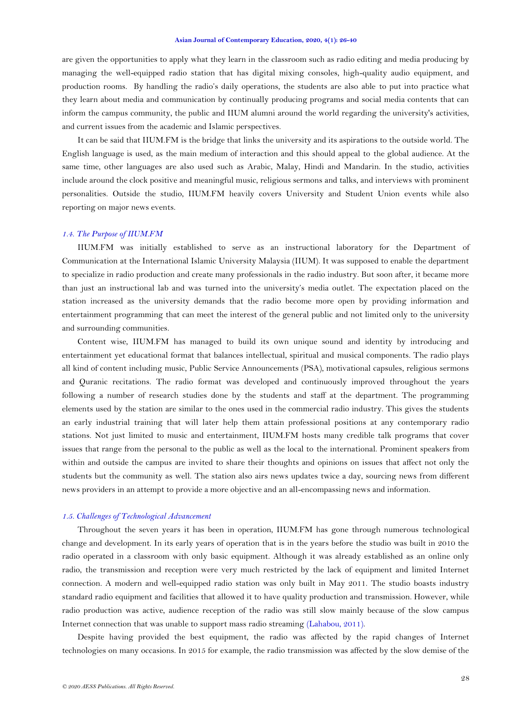are given the opportunities to apply what they learn in the classroom such as radio editing and media producing by managing the well-equipped radio station that has digital mixing consoles, high-quality audio equipment, and production rooms. By handling the radio's daily operations, the students are also able to put into practice what they learn about media and communication by continually producing programs and social media contents that can inform the campus community, the public and IIUM alumni around the world regarding the university's activities, and current issues from the academic and Islamic perspectives.

It can be said that IIUM.FM is the bridge that links the university and its aspirations to the outside world. The English language is used, as the main medium of interaction and this should appeal to the global audience. At the same time, other languages are also used such as Arabic, Malay, Hindi and Mandarin. In the studio, activities include around the clock positive and meaningful music, religious sermons and talks, and interviews with prominent personalities. Outside the studio, IIUM.FM heavily covers University and Student Union events while also reporting on major news events.

## *1.4. The Purpose of IIUM.FM*

IIUM.FM was initially established to serve as an instructional laboratory for the Department of Communication at the International Islamic University Malaysia (IIUM). It was supposed to enable the department to specialize in radio production and create many professionals in the radio industry. But soon after, it became more than just an instructional lab and was turned into the university"s media outlet. The expectation placed on the station increased as the university demands that the radio become more open by providing information and entertainment programming that can meet the interest of the general public and not limited only to the university and surrounding communities.

Content wise, IIUM.FM has managed to build its own unique sound and identity by introducing and entertainment yet educational format that balances intellectual, spiritual and musical components. The radio plays all kind of content including music, Public Service Announcements (PSA), motivational capsules, religious sermons and Quranic recitations. The radio format was developed and continuously improved throughout the years following a number of research studies done by the students and staff at the department. The programming elements used by the station are similar to the ones used in the commercial radio industry. This gives the students an early industrial training that will later help them attain professional positions at any contemporary radio stations. Not just limited to music and entertainment, IIUM.FM hosts many credible talk programs that cover issues that range from the personal to the public as well as the local to the international. Prominent speakers from within and outside the campus are invited to share their thoughts and opinions on issues that affect not only the students but the community as well. The station also airs news updates twice a day, sourcing news from different news providers in an attempt to provide a more objective and an all-encompassing news and information.

### *1.5. Challenges of Technological Advancement*

Throughout the seven years it has been in operation, IIUM.FM has gone through numerous technological change and development. In its early years of operation that is in the years before the studio was built in 2010 the radio operated in a classroom with only basic equipment. Although it was already established as an online only radio, the transmission and reception were very much restricted by the lack of equipment and limited Internet connection. A modern and well-equipped radio station was only built in May 2011. The studio boasts industry standard radio equipment and facilities that allowed it to have quality production and transmission. However, while radio production was active, audience reception of the radio was still slow mainly because of the slow campus Internet connection that was unable to support mass radio streaming [\(Lahabou, 2011\)](#page-13-3).

Despite having provided the best equipment, the radio was affected by the rapid changes of Internet technologies on many occasions. In 2015 for example, the radio transmission was affected by the slow demise of the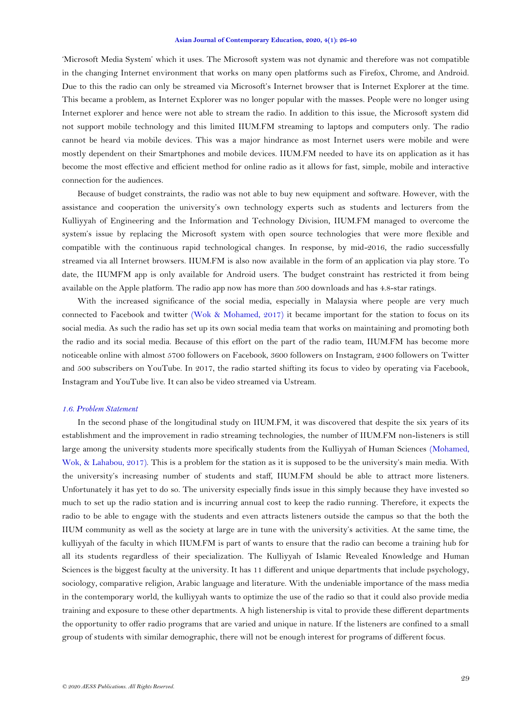#### **Asian Journal of Contemporary Education, 2020, 4(1): 26-40**

"Microsoft Media System" which it uses. The Microsoft system was not dynamic and therefore was not compatible in the changing Internet environment that works on many open platforms such as Firefox, Chrome, and Android. Due to this the radio can only be streamed via Microsoft"s Internet browser that is Internet Explorer at the time. This became a problem, as Internet Explorer was no longer popular with the masses. People were no longer using Internet explorer and hence were not able to stream the radio. In addition to this issue, the Microsoft system did not support mobile technology and this limited IIUM.FM streaming to laptops and computers only. The radio cannot be heard via mobile devices. This was a major hindrance as most Internet users were mobile and were mostly dependent on their Smartphones and mobile devices. IIUM.FM needed to have its on application as it has become the most effective and efficient method for online radio as it allows for fast, simple, mobile and interactive connection for the audiences.

Because of budget constraints, the radio was not able to buy new equipment and software. However, with the assistance and cooperation the university's own technology experts such as students and lecturers from the Kulliyyah of Engineering and the Information and Technology Division, IIUM.FM managed to overcome the system"s issue by replacing the Microsoft system with open source technologies that were more flexible and compatible with the continuous rapid technological changes. In response, by mid-2016, the radio successfully streamed via all Internet browsers. IIUM.FM is also now available in the form of an application via play store. To date, the IIUMFM app is only available for Android users. The budget constraint has restricted it from being available on the Apple platform. The radio app now has more than 500 downloads and has 4.8-star ratings.

With the increased significance of the social media, especially in Malaysia where people are very much connected to Facebook and twitter [\(Wok & Mohamed, 2017\)](#page-14-3) it became important for the station to focus on its social media. As such the radio has set up its own social media team that works on maintaining and promoting both the radio and its social media. Because of this effort on the part of the radio team, IIUM.FM has become more noticeable online with almost 5700 followers on Facebook, 3600 followers on Instagram, 2400 followers on Twitter and 500 subscribers on YouTube. In 2017, the radio started shifting its focus to video by operating via Facebook, Instagram and YouTube live. It can also be video streamed via Ustream.

### *1.6. Problem Statement*

In the second phase of the longitudinal study on IIUM.FM, it was discovered that despite the six years of its establishment and the improvement in radio streaming technologies, the number of IIUM.FM non-listeners is still large among the university students more specifically students from the Kulliyyah of Human Sciences [\(Mohamed,](#page-13-4)  [Wok, & Lahabou, 2017\)](#page-13-4). This is a problem for the station as it is supposed to be the university's main media. With the university"s increasing number of students and staff, IIUM.FM should be able to attract more listeners. Unfortunately it has yet to do so. The university especially finds issue in this simply because they have invested so much to set up the radio station and is incurring annual cost to keep the radio running. Therefore, it expects the radio to be able to engage with the students and even attracts listeners outside the campus so that the both the IIUM community as well as the society at large are in tune with the university"s activities. At the same time, the kulliyyah of the faculty in which IIUM.FM is part of wants to ensure that the radio can become a training hub for all its students regardless of their specialization. The Kulliyyah of Islamic Revealed Knowledge and Human Sciences is the biggest faculty at the university. It has 11 different and unique departments that include psychology, sociology, comparative religion, Arabic language and literature. With the undeniable importance of the mass media in the contemporary world, the kulliyyah wants to optimize the use of the radio so that it could also provide media training and exposure to these other departments. A high listenership is vital to provide these different departments the opportunity to offer radio programs that are varied and unique in nature. If the listeners are confined to a small group of students with similar demographic, there will not be enough interest for programs of different focus.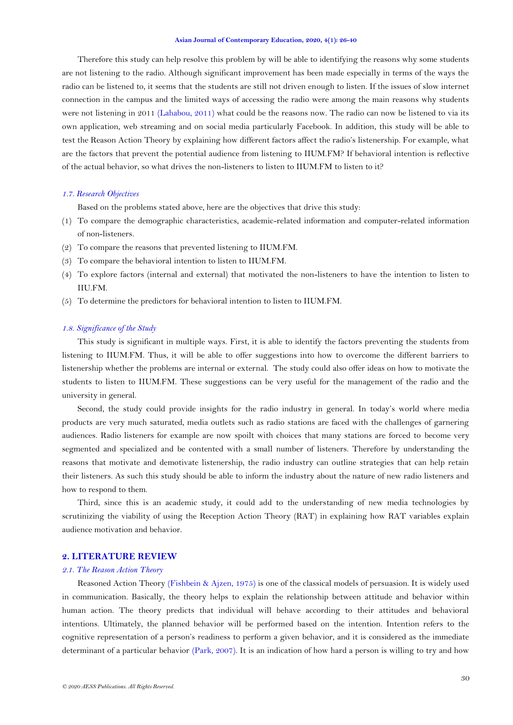Therefore this study can help resolve this problem by will be able to identifying the reasons why some students are not listening to the radio. Although significant improvement has been made especially in terms of the ways the radio can be listened to, it seems that the students are still not driven enough to listen. If the issues of slow internet connection in the campus and the limited ways of accessing the radio were among the main reasons why students were not listening in 2011 [\(Lahabou, 2011\)](#page-13-3) what could be the reasons now. The radio can now be listened to via its own application, web streaming and on social media particularly Facebook. In addition, this study will be able to test the Reason Action Theory by explaining how different factors affect the radio"s listenership. For example, what are the factors that prevent the potential audience from listening to IIUM.FM? If behavioral intention is reflective of the actual behavior, so what drives the non-listeners to listen to IIUM.FM to listen to it?

### *1.7. Research Objectives*

Based on the problems stated above, here are the objectives that drive this study:

- (1) To compare the demographic characteristics, academic-related information and computer-related information of non-listeners.
- (2) To compare the reasons that prevented listening to IIUM.FM.
- (3) To compare the behavioral intention to listen to IIUM.FM.
- (4) To explore factors (internal and external) that motivated the non-listeners to have the intention to listen to IIU.FM.
- (5) To determine the predictors for behavioral intention to listen to IIUM.FM.

#### *1.8. Significance of the Study*

This study is significant in multiple ways. First, it is able to identify the factors preventing the students from listening to IIUM.FM. Thus, it will be able to offer suggestions into how to overcome the different barriers to listenership whether the problems are internal or external. The study could also offer ideas on how to motivate the students to listen to IIUM.FM. These suggestions can be very useful for the management of the radio and the university in general.

Second, the study could provide insights for the radio industry in general. In today's world where media products are very much saturated, media outlets such as radio stations are faced with the challenges of garnering audiences. Radio listeners for example are now spoilt with choices that many stations are forced to become very segmented and specialized and be contented with a small number of listeners. Therefore by understanding the reasons that motivate and demotivate listenership, the radio industry can outline strategies that can help retain their listeners. As such this study should be able to inform the industry about the nature of new radio listeners and how to respond to them.

Third, since this is an academic study, it could add to the understanding of new media technologies by scrutinizing the viability of using the Reception Action Theory (RAT) in explaining how RAT variables explain audience motivation and behavior.

## **2. LITERATURE REVIEW**

## *2.1. The Reason Action Theory*

Reasoned Action Theory [\(Fishbein & Ajzen, 1975\)](#page-13-5) is one of the classical models of persuasion. It is widely used in communication. Basically, the theory helps to explain the relationship between attitude and behavior within human action. The theory predicts that individual will behave according to their attitudes and behavioral intentions. Ultimately, the planned behavior will be performed based on the intention. Intention refers to the cognitive representation of a person"s readiness to perform a given behavior, and it is considered as the immediate determinant of a particular behavior [\(Park, 2007\)](#page-13-6). It is an indication of how hard a person is willing to try and how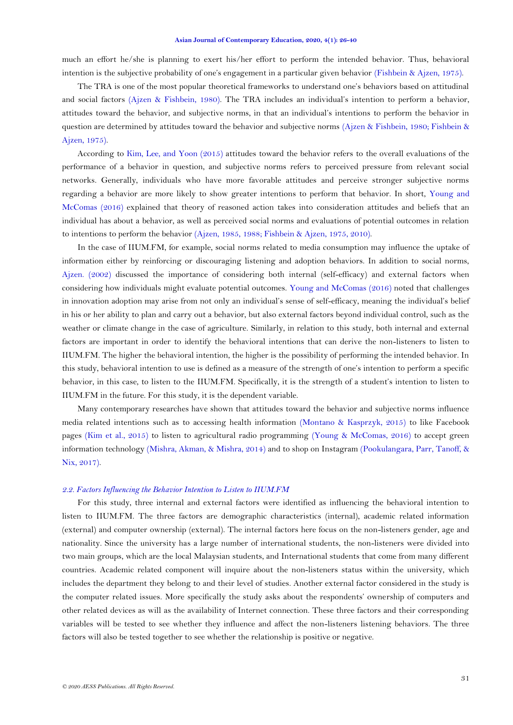#### **Asian Journal of Contemporary Education, 2020, 4(1): 26-40**

much an effort he/she is planning to exert his/her effort to perform the intended behavior. Thus, behavioral intention is the subjective probability of one"s engagement in a particular given behavior [\(Fishbein & Ajzen, 1975\)](#page-13-5).

The TRA is one of the most popular theoretical frameworks to understand one"s behaviors based on attitudinal and social factors [\(Ajzen & Fishbein, 1980\)](#page-13-7). The TRA includes an individual"s intention to perform a behavior, attitudes toward the behavior, and subjective norms, in that an individual"s intentions to perform the behavior in question are determined by attitudes toward the behavior and subjective norms [\(Ajzen & Fishbein, 1980;](#page-13-7) [Fishbein &](#page-13-5)  [Ajzen, 1975\)](#page-13-5).

According to [Kim, Lee, and Yoon \(2015\)](#page-13-8) attitudes toward the behavior refers to the overall evaluations of the performance of a behavior in question, and subjective norms refers to perceived pressure from relevant social networks. Generally, individuals who have more favorable attitudes and perceive stronger subjective norms regarding a behavior are more likely to show greater intentions to perform that behavior. In short, [Young and](#page-14-4)  [McComas \(2016\)](#page-14-4) explained that theory of reasoned action takes into consideration attitudes and beliefs that an individual has about a behavior, as well as perceived social norms and evaluations of potential outcomes in relation to intentions to perform the behavior [\(Ajzen, 1985,](#page-13-9) [1988;](#page-13-10) [Fishbein & Ajzen, 1975,](#page-13-5) [2010\)](#page-13-11).

In the case of IIUM.FM, for example, social norms related to media consumption may influence the uptake of information either by reinforcing or discouraging listening and adoption behaviors. In addition to social norms, [Ajzen. \(2002\)](#page-13-12) discussed the importance of considering both internal (self-efficacy) and external factors when considering how individuals might evaluate potential outcomes. [Young and McComas \(2016\)](#page-14-4) noted that challenges in innovation adoption may arise from not only an individual's sense of self-efficacy, meaning the individual's belief in his or her ability to plan and carry out a behavior, but also external factors beyond individual control, such as the weather or climate change in the case of agriculture. Similarly, in relation to this study, both internal and external factors are important in order to identify the behavioral intentions that can derive the non-listeners to listen to IIUM.FM. The higher the behavioral intention, the higher is the possibility of performing the intended behavior. In this study, behavioral intention to use is defined as a measure of the strength of one"s intention to perform a specific behavior, in this case, to listen to the IIUM.FM. Specifically, it is the strength of a student's intention to listen to IIUM.FM in the future. For this study, it is the dependent variable.

Many contemporary researches have shown that attitudes toward the behavior and subjective norms influence media related intentions such as to accessing health information [\(Montano & Kasprzyk, 2015\)](#page-13-13) to like Facebook pages [\(Kim et al., 2015\)](#page-13-8) to listen to agricultural radio programming [\(Young & McComas, 2016\)](#page-14-4) to accept green information technology [\(Mishra, Akman, & Mishra, 2014\)](#page-13-14) and to shop on Instagram [\(Pookulangara, Parr, Tanoff, &](#page-14-5)  [Nix, 2017\)](#page-14-5).

#### *2.2. Factors Influencing the Behavior Intention to Listen to IIUM.FM*

For this study, three internal and external factors were identified as influencing the behavioral intention to listen to IIUM.FM. The three factors are demographic characteristics (internal), academic related information (external) and computer ownership (external). The internal factors here focus on the non-listeners gender, age and nationality. Since the university has a large number of international students, the non-listeners were divided into two main groups, which are the local Malaysian students, and International students that come from many different countries. Academic related component will inquire about the non-listeners status within the university, which includes the department they belong to and their level of studies. Another external factor considered in the study is the computer related issues. More specifically the study asks about the respondents" ownership of computers and other related devices as will as the availability of Internet connection. These three factors and their corresponding variables will be tested to see whether they influence and affect the non-listeners listening behaviors. The three factors will also be tested together to see whether the relationship is positive or negative.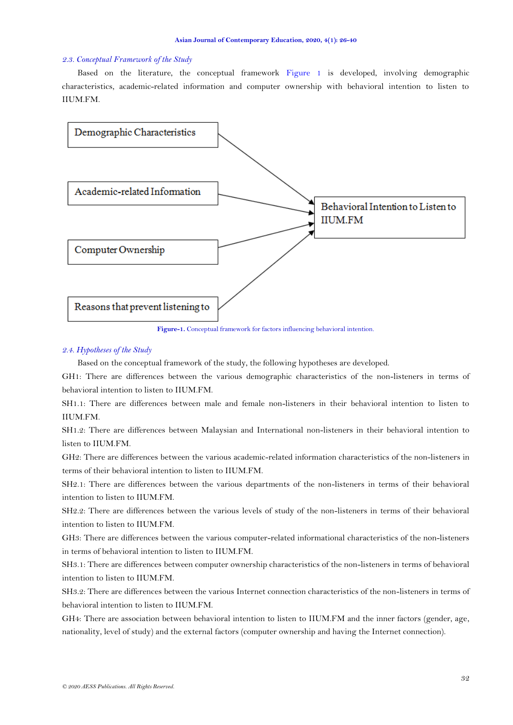### *2.3. Conceptual Framework of the Study*

Based on the literature, the conceptual framework [Figure 1](#page-6-0) is developed, involving demographic characteristics, academic-related information and computer ownership with behavioral intention to listen to IIUM.FM.



**Figure-1.** Conceptual framework for factors influencing behavioral intention.

### <span id="page-6-0"></span>*2.4. Hypotheses of the Study*

Based on the conceptual framework of the study, the following hypotheses are developed.

GH1: There are differences between the various demographic characteristics of the non-listeners in terms of behavioral intention to listen to IIUM.FM.

SH1.1: There are differences between male and female non-listeners in their behavioral intention to listen to IIUM.FM.

SH1.2: There are differences between Malaysian and International non-listeners in their behavioral intention to listen to IIUM.FM.

GH2: There are differences between the various academic-related information characteristics of the non-listeners in terms of their behavioral intention to listen to IIUM.FM.

SH2.1: There are differences between the various departments of the non-listeners in terms of their behavioral intention to listen to IIUM.FM.

SH2.2: There are differences between the various levels of study of the non-listeners in terms of their behavioral intention to listen to IIUM.FM.

GH3: There are differences between the various computer-related informational characteristics of the non-listeners in terms of behavioral intention to listen to IIUM.FM.

SH3.1: There are differences between computer ownership characteristics of the non-listeners in terms of behavioral intention to listen to IIUM.FM.

SH3.2: There are differences between the various Internet connection characteristics of the non-listeners in terms of behavioral intention to listen to IIUM.FM.

GH4: There are association between behavioral intention to listen to IIUM.FM and the inner factors (gender, age, nationality, level of study) and the external factors (computer ownership and having the Internet connection).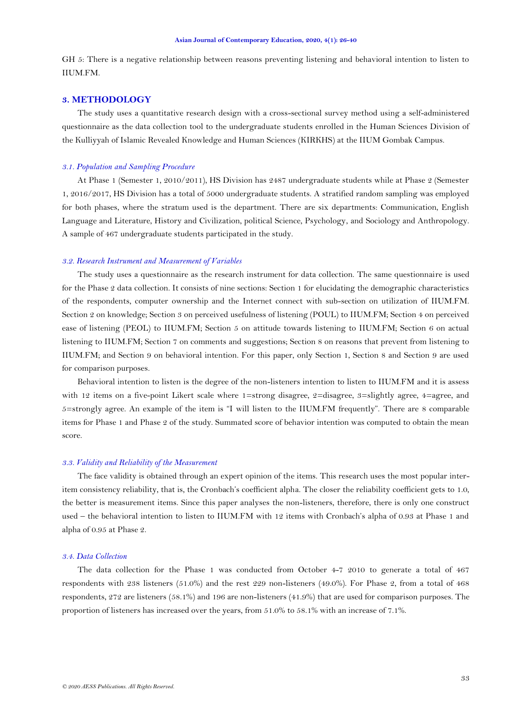GH 5: There is a negative relationship between reasons preventing listening and behavioral intention to listen to IIUM.FM.

## **3. METHODOLOGY**

The study uses a quantitative research design with a cross-sectional survey method using a self-administered questionnaire as the data collection tool to the undergraduate students enrolled in the Human Sciences Division of the Kulliyyah of Islamic Revealed Knowledge and Human Sciences (KIRKHS) at the IIUM Gombak Campus.

## *3.1. Population and Sampling Procedure*

At Phase 1 (Semester 1, 2010/2011), HS Division has 2487 undergraduate students while at Phase 2 (Semester 1, 2016/2017, HS Division has a total of 5000 undergraduate students. A stratified random sampling was employed for both phases, where the stratum used is the department. There are six departments: Communication, English Language and Literature, History and Civilization, political Science, Psychology, and Sociology and Anthropology. A sample of 467 undergraduate students participated in the study.

### *3.2. Research Instrument and Measurement of Variables*

The study uses a questionnaire as the research instrument for data collection. The same questionnaire is used for the Phase 2 data collection. It consists of nine sections: Section 1 for elucidating the demographic characteristics of the respondents, computer ownership and the Internet connect with sub-section on utilization of IIUM.FM. Section 2 on knowledge; Section 3 on perceived usefulness of listening (POUL) to IIUM.FM; Section 4 on perceived ease of listening (PEOL) to IIUM.FM; Section 5 on attitude towards listening to IIUM.FM; Section 6 on actual listening to IIUM.FM; Section 7 on comments and suggestions; Section 8 on reasons that prevent from listening to IIUM.FM; and Section 9 on behavioral intention. For this paper, only Section 1, Section 8 and Section 9 are used for comparison purposes.

Behavioral intention to listen is the degree of the non-listeners intention to listen to IIUM.FM and it is assess with 12 items on a five-point Likert scale where 1=strong disagree, 2=disagree, 3=slightly agree, 4=agree, and 5=strongly agree. An example of the item is "I will listen to the IIUM.FM frequently". There are 8 comparable items for Phase 1 and Phase 2 of the study. Summated score of behavior intention was computed to obtain the mean score.

#### *3.3. Validity and Reliability of the Measurement*

The face validity is obtained through an expert opinion of the items. This research uses the most popular interitem consistency reliability, that is, the Cronbach"s coefficient alpha. The closer the reliability coefficient gets to 1.0, the better is measurement items. Since this paper analyses the non-listeners, therefore, there is only one construct used – the behavioral intention to listen to IIUM.FM with 12 items with Cronbach"s alpha of 0.93 at Phase 1 and alpha of 0.95 at Phase 2.

### *3.4. Data Collection*

The data collection for the Phase 1 was conducted from October 4-7 2010 to generate a total of 467 respondents with 238 listeners (51.0%) and the rest 229 non-listeners (49.0%). For Phase 2, from a total of 468 respondents, 272 are listeners (58.1%) and 196 are non-listeners (41.9%) that are used for comparison purposes. The proportion of listeners has increased over the years, from 51.0% to 58.1% with an increase of 7.1%.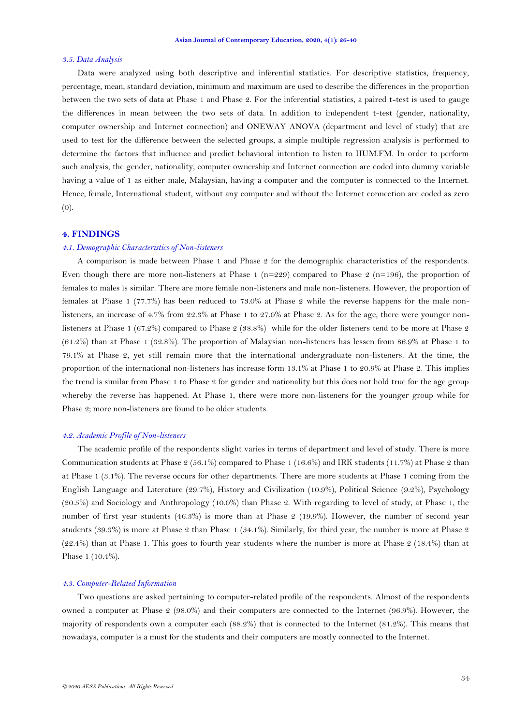#### *3.5. Data Analysis*

Data were analyzed using both descriptive and inferential statistics. For descriptive statistics, frequency, percentage, mean, standard deviation, minimum and maximum are used to describe the differences in the proportion between the two sets of data at Phase 1 and Phase 2. For the inferential statistics, a paired t-test is used to gauge the differences in mean between the two sets of data. In addition to independent t-test (gender, nationality, computer ownership and Internet connection) and ONEWAY ANOVA (department and level of study) that are used to test for the difference between the selected groups, a simple multiple regression analysis is performed to determine the factors that influence and predict behavioral intention to listen to IIUM.FM. In order to perform such analysis, the gender, nationality, computer ownership and Internet connection are coded into dummy variable having a value of 1 as either male, Malaysian, having a computer and the computer is connected to the Internet. Hence, female, International student, without any computer and without the Internet connection are coded as zero  $(0).$ 

### **4. FINDINGS**

#### *4.1. Demographic Characteristics of Non-listeners*

A comparison is made between Phase 1 and Phase 2 for the demographic characteristics of the respondents. Even though there are more non-listeners at Phase 1 ( $n=229$ ) compared to Phase 2 ( $n=196$ ), the proportion of females to males is similar. There are more female non-listeners and male non-listeners. However, the proportion of females at Phase 1 (77.7%) has been reduced to 73.0% at Phase 2 while the reverse happens for the male nonlisteners, an increase of 4.7% from 22.3% at Phase 1 to 27.0% at Phase 2. As for the age, there were younger nonlisteners at Phase 1 (67.2%) compared to Phase 2 (38.8%) while for the older listeners tend to be more at Phase 2 (61.2%) than at Phase 1 (32.8%). The proportion of Malaysian non-listeners has lessen from 86.9% at Phase 1 to 79.1% at Phase 2, yet still remain more that the international undergraduate non-listeners. At the time, the proportion of the international non-listeners has increase form 13.1% at Phase 1 to 20.9% at Phase 2. This implies the trend is similar from Phase 1 to Phase 2 for gender and nationality but this does not hold true for the age group whereby the reverse has happened. At Phase 1, there were more non-listeners for the younger group while for Phase 2; more non-listeners are found to be older students.

### *4.2. Academic Profile of Non-listeners*

The academic profile of the respondents slight varies in terms of department and level of study. There is more Communication students at Phase 2 (56.1%) compared to Phase 1 (16.6%) and IRK students (11.7%) at Phase 2 than at Phase 1 (3.1%). The reverse occurs for other departments. There are more students at Phase 1 coming from the English Language and Literature (29.7%), History and Civilization (10.9%), Political Science (9.2%), Psychology (20.5%) and Sociology and Anthropology (10.0%) than Phase 2. With regarding to level of study, at Phase 1, the number of first year students (46.3%) is more than at Phase 2 (19.9%). However, the number of second year students (39.3%) is more at Phase 2 than Phase 1 (34.1%). Similarly, for third year, the number is more at Phase 2 (22.4%) than at Phase 1. This goes to fourth year students where the number is more at Phase 2 (18.4%) than at Phase 1 (10.4%).

## *4.3. Computer-Related Information*

Two questions are asked pertaining to computer-related profile of the respondents. Almost of the respondents owned a computer at Phase 2 (98.0%) and their computers are connected to the Internet (96.9%). However, the majority of respondents own a computer each (88.2%) that is connected to the Internet (81.2%). This means that nowadays, computer is a must for the students and their computers are mostly connected to the Internet.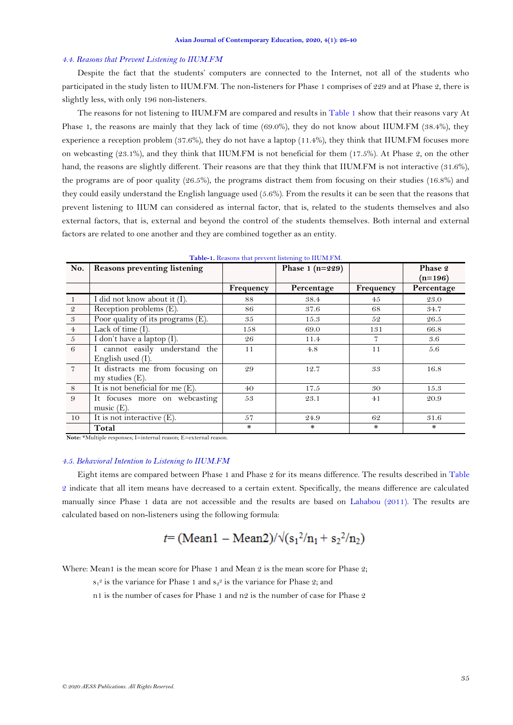#### *4.4. Reasons that Prevent Listening to IIUM.FM*

Despite the fact that the students" computers are connected to the Internet, not all of the students who participated in the study listen to IIUM.FM. The non-listeners for Phase 1 comprises of 229 and at Phase 2, there is slightly less, with only 196 non-listeners.

The reasons for not listening to IIUM.FM are compared and results in [Table 1](#page-9-0) show that their reasons vary At Phase 1, the reasons are mainly that they lack of time (69.0%), they do not know about IIUM.FM (38.4%), they experience a reception problem (37.6%), they do not have a laptop (11.4%), they think that IIUM.FM focuses more on webcasting (23.1%), and they think that IIUM.FM is not beneficial for them (17.5%). At Phase 2, on the other hand, the reasons are slightly different. Their reasons are that they think that IIUM.FM is not interactive (31.6%), the programs are of poor quality (26.5%), the programs distract them from focusing on their studies (16.8%) and they could easily understand the English language used (5.6%). From the results it can be seen that the reasons that prevent listening to IIUM can considered as internal factor, that is, related to the students themselves and also external factors, that is, external and beyond the control of the students themselves. Both internal and external factors are related to one another and they are combined together as an entity.

<span id="page-9-0"></span>

| No.            | <b>Reasons preventing listening</b> |           | Phase 1 $(n=229)$ |           | Phase 2    |
|----------------|-------------------------------------|-----------|-------------------|-----------|------------|
|                |                                     |           |                   |           | $(n=196)$  |
|                |                                     | Frequency | Percentage        | Frequency | Percentage |
| - 1            | I did not know about it (I).        | 88        | 38.4              | 45        | 23.0       |
| $\mathfrak{D}$ | Reception problems $(E)$ .          | 86        | 37.6              | 68        | 34.7       |
| $\sqrt{3}$     | Poor quality of its programs (E).   | 35        | 15.3              | 52        | 26.5       |
| $\bf 4$        | Lack of time $(I)$ .                | 158       | 69.0              | 131       | 66.8       |
| $\overline{5}$ | I don't have a laptop (I).          | 26        | 11.4              | 7         | 3.6        |
| 6              | I cannot easily understand the      | 11        | 4.8               | 11        | 5.6        |
|                | English used (I).                   |           |                   |           |            |
| $\overline{7}$ | It distracts me from focusing on    | 29        | 12.7              | 33        | 16.8       |
|                | my studies $(E)$ .                  |           |                   |           |            |
| 8              | It is not beneficial for me $(E)$ . | 40        | 17.5              | 30        | 15.3       |
| 9              | It focuses more on webcasting       | 53        | 23.1              | 41        | 20.9       |
|                | music $(E)$ .                       |           |                   |           |            |
| 10             | It is not interactive $(E)$ .       | 57        | 24.9              | 62        | 31.6       |
|                | Total                               | ∗         | ₩                 | *         | ∗          |

| Table-1. Reasons that prevent listening to IIUM.FM. |  |  |
|-----------------------------------------------------|--|--|
|-----------------------------------------------------|--|--|

**Note:** \*Multiple responses; I=internal reason; E=external reason.

### *4.5. Behavioral Intention to Listening to IIUM.FM*

Eight items are compared between Phase 1 and Phase 2 for its means difference. The results described in [Table](#page-10-0)  [2](#page-10-0) indicate that all item means have decreased to a certain extent. Specifically, the means difference are calculated manually since Phase 1 data are not accessible and the results are based on [Lahabou \(2011\)](#page-13-3). The results are calculated based on non-listeners using the following formula:

$$
t=(\text{Mean1} - \text{Mean2})/\sqrt{(s_1^2/n_1 + s_2^2/n_2)}
$$

Where: Mean1 is the mean score for Phase 1 and Mean  $2$  is the mean score for Phase  $2$ ;

 $s_1^2$  is the variance for Phase 1 and  $s_2^2$  is the variance for Phase 2; and

n1 is the number of cases for Phase 1 and n2 is the number of case for Phase 2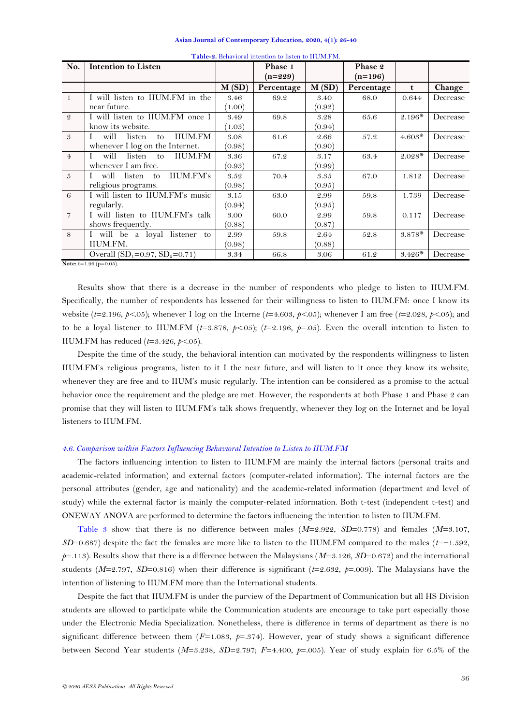| Asian Journal of Contemporary Education, 2020, 4(1): 26-40 |  |  |  |  |
|------------------------------------------------------------|--|--|--|--|
|------------------------------------------------------------|--|--|--|--|

<span id="page-10-0"></span>

| No.            | <b>Intention to Listen</b>                                                                                                                                                                                                                                                                                                         |        | Phase 1<br>$(n=229)$ |        | Phase 2<br>$(n=196)$ |          |          |
|----------------|------------------------------------------------------------------------------------------------------------------------------------------------------------------------------------------------------------------------------------------------------------------------------------------------------------------------------------|--------|----------------------|--------|----------------------|----------|----------|
|                |                                                                                                                                                                                                                                                                                                                                    | M(SD)  | Percentage           | M(SD)  | Percentage           | t        | Change   |
| $\overline{1}$ | I will listen to IIUM.FM in the                                                                                                                                                                                                                                                                                                    | 3.46   | 69.2                 | 3.40   | 68.0                 | 0.644    | Decrease |
|                | near future.                                                                                                                                                                                                                                                                                                                       | (1.00) |                      | (0.92) |                      |          |          |
| $\overline{2}$ | I will listen to IIUM.FM once I                                                                                                                                                                                                                                                                                                    | 3.49   | 69.8                 | 3.28   | 65.6                 | $2.196*$ | Decrease |
|                | know its website.                                                                                                                                                                                                                                                                                                                  | (1.03) |                      | (0.94) |                      |          |          |
| 3              | will<br><b>IIUM.FM</b><br>listen<br>to                                                                                                                                                                                                                                                                                             | 3.08   | 61.6                 | 2.66   | 57.2                 | $4.603*$ | Decrease |
|                | whenever I log on the Internet.                                                                                                                                                                                                                                                                                                    | (0.98) |                      | (0.90) |                      |          |          |
| $\overline{4}$ | will<br>listen<br>IIUM.FM<br>to                                                                                                                                                                                                                                                                                                    | 3.36   | 67.2                 | 3.17   | 63.4                 | $2.028*$ | Decrease |
|                | whenever I am free.                                                                                                                                                                                                                                                                                                                | (0.93) |                      | (0.99) |                      |          |          |
| - 5            | IIUM.FM's<br>will listen<br>to                                                                                                                                                                                                                                                                                                     | 3.52   | 70.4                 | 3.35   | 67.0                 | 1.812    | Decrease |
|                | religious programs.                                                                                                                                                                                                                                                                                                                | (0.98) |                      | (0.95) |                      |          |          |
| -6             | I will listen to IIUM.FM's music                                                                                                                                                                                                                                                                                                   | 3.15   | 63.0                 | 2.99   | 59.8                 | 1.739    | Decrease |
|                | regularly.                                                                                                                                                                                                                                                                                                                         | (0.94) |                      | (0.95) |                      |          |          |
| $\overline{7}$ | I will listen to IIUM.FM's talk                                                                                                                                                                                                                                                                                                    | 3.00   | 60.0                 | 2.99   | 59.8                 | 0.117    | Decrease |
|                | shows frequently.                                                                                                                                                                                                                                                                                                                  | (0.88) |                      | (0.87) |                      |          |          |
| 8              | I will be a loyal listener to                                                                                                                                                                                                                                                                                                      | 2.99   | 59.8                 | 2.64   | 52.8                 | $3.878*$ | Decrease |
|                | IIUM.FM.                                                                                                                                                                                                                                                                                                                           | (0.98) |                      | (0.88) |                      |          |          |
|                | Overall (SD <sub>1</sub> =0.97, SD <sub>2</sub> =0.71)                                                                                                                                                                                                                                                                             | 3.34   | 66.8                 | 3.06   | 61.2                 | $3.426*$ | Decrease |
|                | $\mathbf{M}$ $\mathbf{L}$ $\mathbf{L}$ $\mathbf{L}$ $\mathbf{L}$ $\mathbf{L}$ $\mathbf{L}$ $\mathbf{L}$ $\mathbf{L}$ $\mathbf{L}$ $\mathbf{L}$ $\mathbf{L}$ $\mathbf{L}$ $\mathbf{L}$ $\mathbf{L}$ $\mathbf{L}$ $\mathbf{L}$ $\mathbf{L}$ $\mathbf{L}$ $\mathbf{L}$ $\mathbf{L}$ $\mathbf{L}$ $\mathbf{L}$ $\mathbf{L}$ $\mathbf{$ |        |                      |        |                      |          |          |

| Table-2. Behavioral intention to listen to IIUM.FM. |
|-----------------------------------------------------|
|-----------------------------------------------------|

**Note:**  $t=1.96$  ( $p=0.05$ ).

Results show that there is a decrease in the number of respondents who pledge to listen to IIUM.FM. Specifically, the number of respondents has lessened for their willingness to listen to IIUM.FM: once I know its website (*t*=2.196*, p<*.05); whenever I log on the Interne (*t*=4.603*, p<*.05); whenever I am free (*t*=2.028*, p<*.05); and to be a loyal listener to IIUM.FM ( $t=3.878$ ,  $p<0.05$ ); ( $t=2.196$ ,  $p=0.05$ ). Even the overall intention to listen to IIUM.FM has reduced (*t*=3.426*, p<*.05).

Despite the time of the study, the behavioral intention can motivated by the respondents willingness to listen IIUM.FM"s religious programs, listen to it I the near future, and will listen to it once they know its website, whenever they are free and to IIUM's music regularly. The intention can be considered as a promise to the actual behavior once the requirement and the pledge are met. However, the respondents at both Phase 1 and Phase 2 can promise that they will listen to IIUM.FM"s talk shows frequently, whenever they log on the Internet and be loyal listeners to IIUM.FM.

## *4.6. Comparison within Factors Influencing Behavioral Intention to Listen to IIUM.FM*

The factors influencing intention to listen to IIUM.FM are mainly the internal factors (personal traits and academic-related information) and external factors (computer-related information). The internal factors are the personal attributes (gender, age and nationality) and the academic-related information (department and level of study) while the external factor is mainly the computer-related information. Both t-test (independent t-test) and ONEWAY ANOVA are performed to determine the factors influencing the intention to listen to IIUM.FM.

[Table 3](#page-11-0) show that there is no difference between males (*M*=2.922, *SD*=0.778) and females (*M*=3.107, *SD*=0.687) despite the fact the females are more like to listen to the IIUM.FM compared to the males (*t*=−1.592, *p*=.113). Results show that there is a difference between the Malaysians (*M*=3.126, *SD*=0.672) and the international students ( $M=2.797$ ,  $SD=0.816$ ) when their difference is significant ( $t=2.632$ ,  $p=0.009$ ). The Malaysians have the intention of listening to IIUM.FM more than the International students.

Despite the fact that IIUM.FM is under the purview of the Department of Communication but all HS Division students are allowed to participate while the Communication students are encourage to take part especially those under the Electronic Media Specialization. Nonetheless, there is difference in terms of department as there is no significant difference between them (*F*=1.083, *p*=.374). However, year of study shows a significant difference between Second Year students (*M*=3.238, *SD*=2.797; *F*=4.400, *p*=.005). Year of study explain for 6.5% of the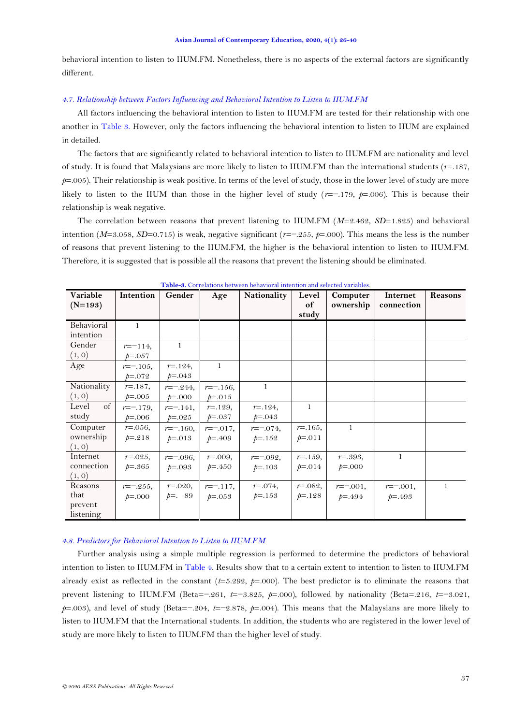behavioral intention to listen to IIUM.FM. Nonetheless, there is no aspects of the external factors are significantly different.

## *4.7. Relationship between Factors Influencing and Behavioral Intention to Listen to IIUM.FM*

All factors influencing the behavioral intention to listen to IIUM.FM are tested for their relationship with one another in [Table 3.](#page-11-0) However, only the factors influencing the behavioral intention to listen to IIUM are explained in detailed.

The factors that are significantly related to behavioral intention to listen to IIUM.FM are nationality and level of study. It is found that Malaysians are more likely to listen to IIUM.FM than the international students (*r*=.187, *p*=.005). Their relationship is weak positive. In terms of the level of study, those in the lower level of study are more likely to listen to the IIUM than those in the higher level of study (*r*=−.179, *p*=.006). This is because their relationship is weak negative.

The correlation between reasons that prevent listening to IIUM.FM (*M*=2.462, *SD*=1.825) and behavioral intention (*M*=3.058, *SD*=0.715) is weak, negative significant (*r*=−.255, *p*=.000). This means the less is the number of reasons that prevent listening to the IIUM.FM, the higher is the behavioral intention to listen to IIUM.FM. Therefore, it is suggested that is possible all the reasons that prevent the listening should be eliminated.

<span id="page-11-0"></span>

| Variable    | Intention      | Gender         | Age            | Nationality    | Level        | Computer     | Internet     | Reasons      |
|-------------|----------------|----------------|----------------|----------------|--------------|--------------|--------------|--------------|
| $(N=193)$   |                |                |                |                | of           | ownership    | connection   |              |
|             |                |                |                |                | study        |              |              |              |
| Behavioral  | $\mathbf{1}$   |                |                |                |              |              |              |              |
| intention   |                |                |                |                |              |              |              |              |
| Gender      | $r = -114$ ,   | $\mathbf{1}$   |                |                |              |              |              |              |
| (1, 0)      | $p = 0.057$    |                |                |                |              |              |              |              |
| Age         | $r = -105$ ,   | $r = 124$ ,    | 1              |                |              |              |              |              |
|             | $p = 0.072$    | $p = 0.043$    |                |                |              |              |              |              |
| Nationality | $r = 187$ ,    | $r = -0.244$ , | $r = -156$ ,   | 1              |              |              |              |              |
| (1, 0)      | $p = 0.005$    | $p = .000$     | $p = 0.015$    |                |              |              |              |              |
| of<br>Level | $r = -179$ ,   | $r = -141$ ,   | $r = 129$ ,    | $r = 124,$     | $\mathbf{1}$ |              |              |              |
| study       | $p = 0.006$    | $p = 0.025$    | $p = 0.037$    | $p = .043$     |              |              |              |              |
| Computer    | $r = 0.056$ ,  | $r = -160$ ,   | $r = -0.017$ , | $r = -0.074$ , | $r = 165$ ,  | 1            |              |              |
| ownership   | $p = 0.218$    | $p = 0.013$    | $p = .409$     | $p = 152$      | $p = 011$    |              |              |              |
| (1, 0)      |                |                |                |                |              |              |              |              |
| Internet    | $r = 0.025$ ,  | $r=-.096$ ,    | $r = .009$ ,   | $r = -0.092$ , | $r = 159$ ,  | $r = .393,$  | $\mathbf{1}$ |              |
| connection  | $p = .365$     | $p = .093$     | $p = 0.450$    | $p = .103$     | $p = 0.014$  | $p = .000$   |              |              |
| (1, 0)      |                |                |                |                |              |              |              |              |
| Reasons     | $r = -0.255$ , | $r = .020,$    | $r = -117$ ,   | $r = 0.074$ ,  | $r = .082,$  | $r = -001$ , | $r = -001$ , | $\mathbf{1}$ |
| that        | $p = .000$     | $p = 89$       | $p = 0.053$    | $p = 153$      | $p = 128$    | $p = .494$   | $p = 0.493$  |              |
| prevent     |                |                |                |                |              |              |              |              |
| listening   |                |                |                |                |              |              |              |              |

**Table-3.** Correlations between behavioral intention and selected variables.

## *4.8. Predictors for Behavioral Intention to Listen to IIUM.FM*

Further analysis using a simple multiple regression is performed to determine the predictors of behavioral intention to listen to IIUM.FM in [Table 4.](#page-12-0) Results show that to a certain extent to intention to listen to IIUM.FM already exist as reflected in the constant  $(t=5.292, p=0.00)$ . The best predictor is to eliminate the reasons that prevent listening to IIUM.FM (Beta=−.261, *t*=−3.825, *p*=.000), followed by nationality (Beta=.216, *t*=−3.021, *p*=.003), and level of study (Beta=−.204, *t*=−2.878, *p*=.004). This means that the Malaysians are more likely to listen to IIUM.FM that the International students. In addition, the students who are registered in the lower level of study are more likely to listen to IIUM.FM than the higher level of study.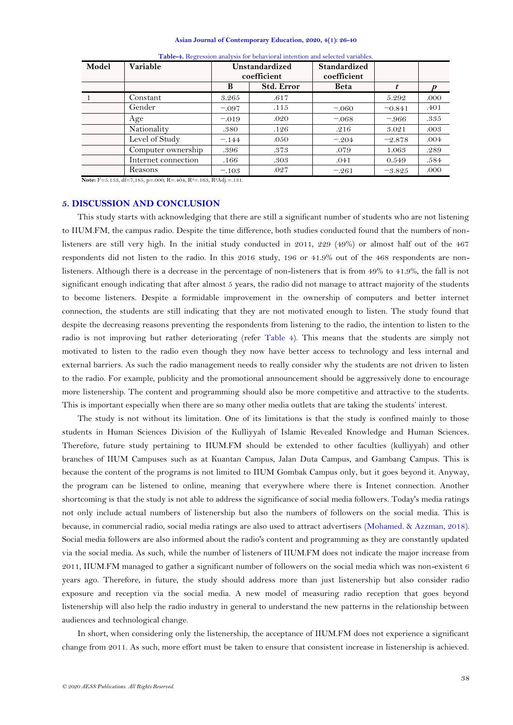| Asian Journal of Contemporary Education, 2020, 4(1): 26-40 |  |  |  |
|------------------------------------------------------------|--|--|--|
|------------------------------------------------------------|--|--|--|

<span id="page-12-0"></span>

| Model | Variable            | Unstandardized<br>coefficient |                   | <b>Standardized</b><br>coefficient |          |      |
|-------|---------------------|-------------------------------|-------------------|------------------------------------|----------|------|
|       |                     | B                             | <b>Std. Error</b> | <b>Beta</b>                        |          |      |
|       | Constant            | 3.265                         | .617              |                                    | 5.292    | .000 |
|       | Gender              | $-.097$                       | .115              | $-.060$                            | $-0.841$ | .401 |
|       | Age                 | $-.019$                       | .020              | $-.068$                            | $-.966$  | .335 |
|       | Nationality         | .380                          | .126              | .216                               | 3.021    | .003 |
|       | Level of Study      | $-.144$                       | .050              | $-.204$                            | $-2.878$ | .004 |
|       | Computer ownership  | .396                          | .373              | .079                               | 1.063    | .289 |
|       | Internet connection | .166                          | .303              | .041                               | 0.549    | .584 |
|       | Reasons             | $-.103$                       | .027              | $-.261$                            | $-3.825$ | .000 |

**Note:** F=5.153, df=7,185, p=.000; R=.404, R2=.163, R2Adj.=.131.

## **5. DISCUSSION AND CONCLUSION**

This study starts with acknowledging that there are still a significant number of students who are not listening to IIUM.FM, the campus radio. Despite the time difference, both studies conducted found that the numbers of nonlisteners are still very high. In the initial study conducted in 2011, 229 (49%) or almost half out of the 467 respondents did not listen to the radio. In this 2016 study, 196 or 41.9% out of the 468 respondents are nonlisteners. Although there is a decrease in the percentage of non-listeners that is from 49% to 41.9%, the fall is not significant enough indicating that after almost 5 years, the radio did not manage to attract majority of the students to become listeners. Despite a formidable improvement in the ownership of computers and better internet connection, the students are still indicating that they are not motivated enough to listen. The study found that despite the decreasing reasons preventing the respondents from listening to the radio, the intention to listen to the radio is not improving but rather deteriorating (refer [Table 4\)](#page-12-0). This means that the students are simply not motivated to listen to the radio even though they now have better access to technology and less internal and external barriers. As such the radio management needs to really consider why the students are not driven to listen to the radio. For example, publicity and the promotional announcement should be aggressively done to encourage more listenership. The content and programming should also be more competitive and attractive to the students. This is important especially when there are so many other media outlets that are taking the students" interest.

The study is not without its limitation. One of its limitations is that the study is confined mainly to those students in Human Sciences Division of the Kulliyyah of Islamic Revealed Knowledge and Human Sciences. Therefore, future study pertaining to IIUM.FM should be extended to other faculties (kulliyyah) and other branches of IIUM Campuses such as at Kuantan Campus, Jalan Duta Campus, and Gambang Campus. This is because the content of the programs is not limited to IIUM Gombak Campus only, but it goes beyond it. Anyway, the program can be listened to online, meaning that everywhere where there is Intenet connection. Another shortcoming is that the study is not able to address the significance of social media followers. Today's media ratings not only include actual numbers of listenership but also the numbers of followers on the social media. This is because, in commercial radio, social media ratings are also used to attract advertisers [\(Mohamed. & Azzman, 2018\)](#page-13-15). Social media followers are also informed about the radio's content and programming as they are constantly updated via the social media. As such, while the number of listeners of IIUM.FM does not indicate the major increase from 2011, IIUM.FM managed to gather a significant number of followers on the social media which was non-existent 6 years ago. Therefore, in future, the study should address more than just listenership but also consider radio exposure and reception via the social media. A new model of measuring radio reception that goes beyond listenership will also help the radio industry in general to understand the new patterns in the relationship between audiences and technological change.

In short, when considering only the listenership, the acceptance of IIUM.FM does not experience a significant change from 2011. As such, more effort must be taken to ensure that consistent increase in listenership is achieved.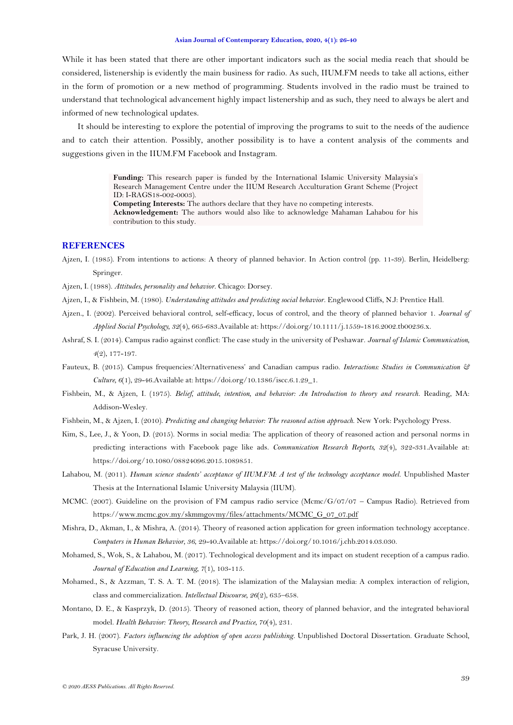While it has been stated that there are other important indicators such as the social media reach that should be considered, listenership is evidently the main business for radio. As such, IIUM.FM needs to take all actions, either in the form of promotion or a new method of programming. Students involved in the radio must be trained to understand that technological advancement highly impact listenership and as such, they need to always be alert and informed of new technological updates.

It should be interesting to explore the potential of improving the programs to suit to the needs of the audience and to catch their attention. Possibly, another possibility is to have a content analysis of the comments and suggestions given in the IIUM.FM Facebook and Instagram.

> Funding: This research paper is funded by the International Islamic University Malaysia's Research Management Centre under the IIUM Research Acculturation Grant Scheme (Project ID: I-RAGS18-002-0003). **Competing Interests:** The authors declare that they have no competing interests.

> **Acknowledgement:** The authors would also like to acknowledge Mahaman Lahabou for his contribution to this study.

## **REFERENCES**

- <span id="page-13-9"></span>Ajzen, I. (1985). From intentions to actions: A theory of planned behavior. In Action control (pp. 11-39). Berlin, Heidelberg: Springer.
- <span id="page-13-10"></span>Ajzen, I. (1988). *Attitudes, personality and behavior*. Chicago: Dorsey.
- <span id="page-13-7"></span>Ajzen, I., & Fishbein, M. (1980). *Understanding attitudes and predicting social behavior*. Englewood Cliffs, N.J: Prentice Hall.
- <span id="page-13-12"></span>Ajzen., I. (2002). Perceived behavioral control, self-efficacy, locus of control, and the theory of planned behavior 1. *Journal of Applied Social Psychology, 32*(4), 665-683.Available at: https://doi.org/10.1111/j.1559-1816.2002.tb00236.x.
- <span id="page-13-1"></span>Ashraf, S. I. (2014). Campus radio against conflict: The case study in the university of Peshawar. *Journal of Islamic Communication, 4*(2), 177-197.
- <span id="page-13-0"></span>Fauteux, B. (2015). Campus frequencies:"Alternativeness" and Canadian campus radio. *Interactions: Studies in Communication & Culture, 6*(1), 29-46.Available at: https://doi.org/10.1386/iscc.6.1.29\_1.
- <span id="page-13-5"></span>Fishbein, M., & Ajzen, I. (1975). *Belief, attitude, intention, and behavior: An Introduction to theory and research*. Reading, MA: Addison-Wesley.
- <span id="page-13-11"></span>Fishbein, M., & Ajzen, I. (2010). *Predicting and changing behavior: The reasoned action approach*. New York: Psychology Press.
- <span id="page-13-8"></span>Kim, S., Lee, J., & Yoon, D. (2015). Norms in social media: The application of theory of reasoned action and personal norms in predicting interactions with Facebook page like ads. *Communication Research Reports, 32*(4), 322-331.Available at: https://doi.org/10.1080/08824096.2015.1089851.
- <span id="page-13-3"></span>Lahabou, M. (2011). *Human science students' acceptance of IIUM.FM: A test of the technology acceptance model.* Unpublished Master Thesis at the International Islamic University Malaysia (IIUM).
- <span id="page-13-2"></span>MCMC. (2007). Guideline on the provision of FM campus radio service (Mcmc/G/07/07 – Campus Radio). Retrieved from https:/[/www.mcmc.gov.my/skmmgovmy/files/attachments/MCMC\\_G\\_07\\_07.pdf](http://www.mcmc.gov.my/skmmgovmy/files/attachments/MCMC_G_07_07.pdf)
- <span id="page-13-14"></span>Mishra, D., Akman, I., & Mishra, A. (2014). Theory of reasoned action application for green information technology acceptance. *Computers in Human Behavior, 36*, 29-40.Available at: https://doi.org/10.1016/j.chb.2014.03.030.
- <span id="page-13-4"></span>Mohamed, S., Wok, S., & Lahabou, M. (2017). Technological development and its impact on student reception of a campus radio. *Journal of Education and Learning, 7*(1), 103-115.
- <span id="page-13-15"></span>Mohamed., S., & Azzman, T. S. A. T. M. (2018). The islamization of the Malaysian media: A complex interaction of religion, class and commercialization. *Intellectual Discourse, 26*(2), 635–658.
- <span id="page-13-13"></span>Montano, D. E., & Kasprzyk, D. (2015). Theory of reasoned action, theory of planned behavior, and the integrated behavioral model. *Health Behavior: Theory, Research and Practice, 70*(4), 231.
- <span id="page-13-6"></span>Park, J. H. (2007). *Factors influencing the adoption of open access publishing.* Unpublished Doctoral Dissertation. Graduate School, Syracuse University.